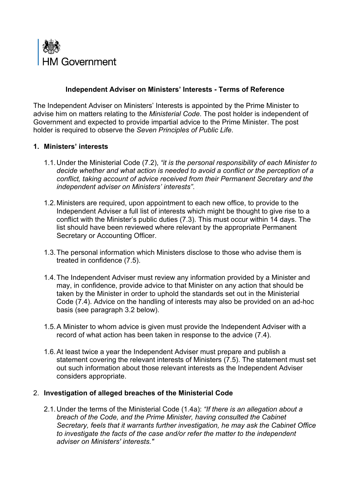

## **Independent Adviser on Ministers' Interests - Terms of Reference**

The Independent Adviser on Ministers' Interests is appointed by the Prime Minister to advise him on matters relating to the *Ministerial Code*. The post holder is independent of Government and expected to provide impartial advice to the Prime Minister. The post holder is required to observe the *Seven Principles of Public Life*.

### **1. Ministers' interests**

- 1.1.Under the Ministerial Code (7.2), *"it is the personal responsibility of each Minister to decide whether and what action is needed to avoid a conflict or the perception of a conflict, taking account of advice received from their Permanent Secretary and the independent adviser on Ministers' interests"*.
- 1.2.Ministers are required, upon appointment to each new office, to provide to the Independent Adviser a full list of interests which might be thought to give rise to a conflict with the Minister's public duties (7.3). This must occur within 14 days. The list should have been reviewed where relevant by the appropriate Permanent Secretary or Accounting Officer.
- 1.3.The personal information which Ministers disclose to those who advise them is treated in confidence (7.5).
- 1.4.The Independent Adviser must review any information provided by a Minister and may, in confidence, provide advice to that Minister on any action that should be taken by the Minister in order to uphold the standards set out in the Ministerial Code (7.4). Advice on the handling of interests may also be provided on an ad-hoc basis (see paragraph 3.2 below).
- 1.5.A Minister to whom advice is given must provide the Independent Adviser with a record of what action has been taken in response to the advice (7.4).
- 1.6.At least twice a year the Independent Adviser must prepare and publish a statement covering the relevant interests of Ministers (7.5). The statement must set out such information about those relevant interests as the Independent Adviser considers appropriate.

#### 2. **Investigation of alleged breaches of the Ministerial Code**

2.1.Under the terms of the Ministerial Code (1.4a): *"If there is an allegation about a breach of the Code, and the Prime Minister, having consulted the Cabinet Secretary, feels that it warrants further investigation, he may ask the Cabinet Office to investigate the facts of the case and/or refer the matter to the independent adviser on Ministers' interests."*